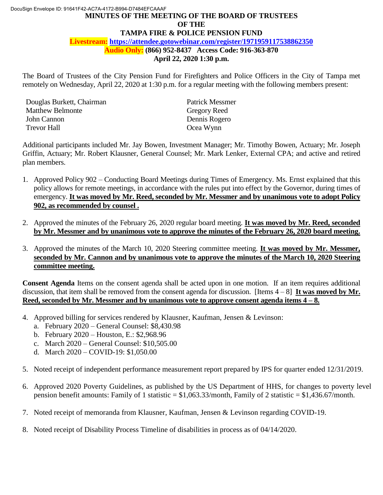# **MINUTES OF THE MEETING OF THE BOARD OF TRUSTEES Audio Only: (866) 952-8437 Access Code: 916-363-870**  DocuSign Envelope ID: 91641F42-AC7A-4172-B994-D7484EFCAAAF **OF THE TAMPA FIRE & POLICE PENSION FUND Livestream: https://attendee.gotowebinar.com/register/1971959117538862350**

**April 22, 2020 1:30 p.m.** 

 The Board of Trustees of the City Pension Fund for Firefighters and Police Officers in the City of Tampa met remotely on Wednesday, April 22, 2020 at 1:30 p.m. for a regular meeting with the following members present:

Douglas Burkett, Chairman Patrick Messmer Matthew Belmonte Gregory Reed John Cannon Dennis Rogero Trevor Hall **Ocea** Wynn

 Additional participants included Mr. Jay Bowen, Investment Manager; Mr. Timothy Bowen, Actuary; Mr. Joseph Griffin, Actuary; Mr. Robert Klausner, General Counsel; Mr. Mark Lenker, External CPA; and active and retired plan members.

- 1. Approved Policy 902 Conducting Board Meetings during Times of Emergency. Ms. Ernst explained that this policy allows for remote meetings, in accordance with the rules put into effect by the Governor, during times of emergency. It was moved by Mr. Reed, seconded by Mr. Messmer and by unanimous vote to adopt Policy  **902, as recommended by counsel .**
- 2. Approved the minutes of the February 26, 2020 regular board meeting. **It was moved by Mr. Reed, seconded by Mr. Messmer and by unanimous vote to approve the minutes of the February 26, 2020 board meeting.**
- 3. Approved the minutes of the March 10, 2020 Steering committee meeting. **It was moved by Mr. Messmer, seconded by Mr. Cannon and by unanimous vote to approve the minutes of the March 10, 2020 Steering committee meeting.**

 **Consent Agenda** Items on the consent agenda shall be acted upon in one motion. If an item requires additional discussion, that item shall be removed from the consent agenda for discussion. [Items 4 – 8] **It was moved by Mr. Reed, seconded by Mr. Messmer and by unanimous vote to approve consent agenda items 4 – 8.** 

- 4. Approved billing for services rendered by Klausner, Kaufman, Jensen & Levinson:
	- a. February 2020 General Counsel: \$8,430.98
	- b. February 2020 Houston, E.: \$2,968.96
	- c. March 2020 General Counsel: \$10,505.00
	- d. March 2020 COVID-19: \$1,050.00
- 5. Noted receipt of independent performance measurement report prepared by IPS for quarter ended 12/31/2019.
- 6. Approved 2020 Poverty Guidelines, as published by the US Department of HHS, for changes to poverty level pension benefit amounts: Family of 1 statistic =  $$1,063.33/m$  onth, Family of 2 statistic =  $$1,436.67/m$  onth.
- 7. Noted receipt of memoranda from Klausner, Kaufman, Jensen & Levinson regarding COVID-19.
- 8. Noted receipt of Disability Process Timeline of disabilities in process as of 04/14/2020.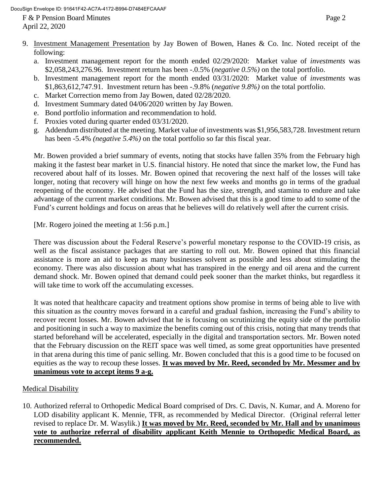F & P Pension Board Minutes Page 2 April 22, 2020

- 9. Investment Management Presentation by Jay Bowen of Bowen, Hanes & Co. Inc. Noted receipt of the following:
	- a. Investment management report for the month ended 02/29/2020: Market value of *investments* was \$2,058,243,276.96. Investment return has been -.0.5% (*negative 0.5%)* on the total portfolio.
	- b. Investment management report for the month ended 03/31/2020: Market value of *investments* was \$1,863,612,747.91. Investment return has been -.9.8% (*negative 9.8%)* on the total portfolio.
	- c. Market Correction memo from Jay Bowen, dated 02/28/2020.
	- d. Investment Summary dated 04/06/2020 written by Jay Bowen.
	- e. Bond portfolio information and recommendation to hold.
	- f. Proxies voted during quarter ended 03/31/2020.
	- g. Addendum distributed at the meeting. Market value of investments was \$1,956,583,728. Investment return has been -5.4% *(negative 5.4%)* on the total portfolio so far this fiscal year.

 Mr. Bowen provided a brief summary of events, noting that stocks have fallen 35% from the February high making it the fastest bear market in U.S. financial history. He noted that since the market low, the Fund has recovered about half of its losses. Mr. Bowen opined that recovering the next half of the losses will take longer, noting that recovery will hinge on how the next few weeks and months go in terms of the gradual reopening of the economy. He advised that the Fund has the size, strength, and stamina to endure and take advantage of the current market conditions. Mr. Bowen advised that this is a good time to add to some of the Fund's current holdings and focus on areas that he believes will do relatively well after the current crisis.

[Mr. Rogero joined the meeting at 1:56 p.m.]

 There was discussion about the Federal Reserve's powerful monetary response to the COVID-19 crisis, as assistance is more an aid to keep as many businesses solvent as possible and less about stimulating the economy. There was also discussion about what has transpired in the energy and oil arena and the current demand shock. Mr. Bowen opined that demand could peek sooner than the market thinks, but regardless it well as the fiscal assistance packages that are starting to roll out. Mr. Bowen opined that this financial will take time to work off the accumulating excesses.

 It was noted that healthcare capacity and treatment options show promise in terms of being able to live with this situation as the country moves forward in a careful and gradual fashion, increasing the Fund's ability to recover recent losses. Mr. Bowen advised that he is focusing on scrutinizing the equity side of the portfolio and positioning in such a way to maximize the benefits coming out of this crisis, noting that many trends that started beforehand will be accelerated, especially in the digital and transportation sectors. Mr. Bowen noted that the February discussion on the REIT space was well timed, as some great opportunities have presented equities as the way to recoup these losses. It was moved by Mr. Reed, seconded by Mr. Messmer and by in that arena during this time of panic selling. Mr. Bowen concluded that this is a good time to be focused on **unanimous vote to accept items 9 a-g.** 

# Medical Disability

 LOD disability applicant K. Mennie, TFR, as recommended by Medical Director. (Original referral letter  **vote to authorize referral of disability applicant Keith Mennie to Orthopedic Medical Board, as**  10. Authorized referral to Orthopedic Medical Board comprised of Drs. C. Davis, N. Kumar, and A. Moreno for revised to replace Dr. M. Wasylik.) **It was moved by Mr. Reed, seconded by Mr. Hall and by unanimous recommended.**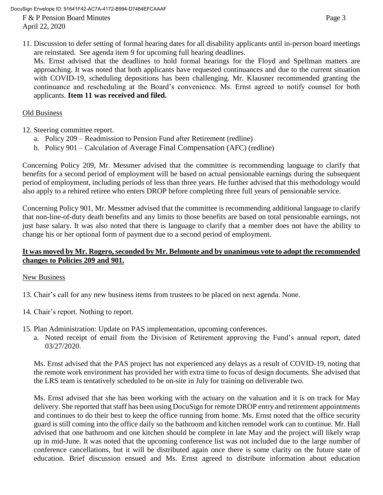DocuSign Envelope ID: 91641F42-AC7A-4172-B994-D7484EFCAAAF

F & P Pension Board Minutes Page 3 April 22, 2020

 11. Discussion to defer setting of formal hearing dates for all disability applicants until in-person board meetings are reinstated. See agenda item 9 for upcoming full hearing deadlines.

 Ms. Ernst advised that the deadlines to hold formal hearings for the Floyd and Spellman matters are with COVID-19, scheduling depositions has been challenging. Mr. Klausner recommended granting the continuance and rescheduling at the Board's convenience. Ms. Ernst agreed to notify counsel for both approaching. It was noted that both applicants have requested continuances and due to the current situation applicants. **Item 11 was received and filed.** 

# Old Business

- 12. Steering committee report.
	- a. Policy 209 Readmission to Pension Fund after Retirement (redline)
	- b. Policy 901 Calculation of Average Final Compensation (AFC) (redline)

 Concerning Policy 209, Mr. Messmer advised that the committee is recommending language to clarify that benefits for a second period of employment will be based on actual pensionable earnings during the subsequent period of employment, including periods of less than three years. He further advised that this methodology would also apply to a rehired retiree who enters DROP before completing three full years of pensionable service.

 Concerning Policy 901, Mr. Messmer advised that the committee is recommending additional language to clarify that non-line-of-duty death benefits and any limits to those benefits are based on total pensionable earnings, not just base salary. It was also noted that there is language to clarify that a member does not have the ability to change his or her optional form of payment due to a second period of employment.

### **It was moved by Mr. Rogero, seconded by Mr. Belmonte and by unanimous vote to adopt the recommended changes to Policies 209 and 901.**

## New Business

- 13. Chair's call for any new business items from trustees to be placed on next agenda. None.
- 14. Chair's report. Nothing to report.
- 15. Plan Administration: Update on PAS implementation, upcoming conferences.
	- a. Noted receipt of email from the Division of Retirement approving the Fund's annual report, dated 03/27/2020.

 Ms. Ernst advised that the PAS project has not experienced any delays as a result of COVID-19, noting that the remote work environment has provided her with extra time to focus of design documents. She advised that the LRS team is tentatively scheduled to be on-site in July for training on deliverable two.

 Ms. Ernst advised that she has been working with the actuary on the valuation and it is on track for May delivery. She reported that staff has been using DocuSign for remote DROP entry and retirement appointments and continues to do their best to keep the office running from home. Ms. Ernst noted that the office security advised that one bathroom and one kitchen should be complete in late May and the project will likely wrap up in mid-June. It was noted that the upcoming conference list was not included due to the large number of conference cancellations, but it will be distributed again once there is some clarity on the future state of guard is still coming into the office daily so the bathroom and kitchen remodel work can to continue. Mr. Hall education. Brief discussion ensued and Ms. Ernst agreed to distribute information about education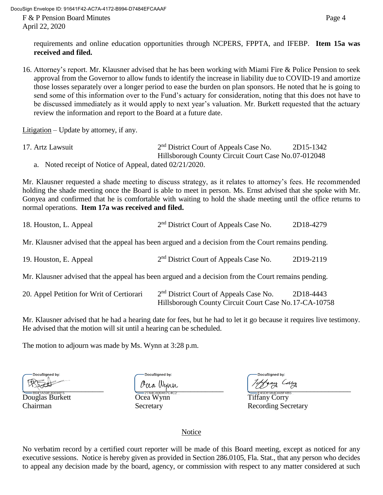DocuSign Envelope ID: 91641F42-AC7A-4172-B994-D7484EFCAAAF

F & P Pension Board Minutes Page 4 April 22, 2020

requirements and online education opportunities through NCPERS, FPPTA, and IFEBP. **Item 15a was received and filed.** 

 16. Attorney's report. Mr. Klausner advised that he has been working with Miami Fire & Police Pension to seek approval from the Governor to allow funds to identify the increase in liability due to COVID-19 and amortize send some of this information over to the Fund's actuary for consideration, noting that this does not have to be discussed immediately as it would apply to next year's valuation. Mr. Burkett requested that the actuary those losses separately over a longer period to ease the burden on plan sponsors. He noted that he is going to review the information and report to the Board at a future date.

Litigation – Update by attorney, if any.

| 17. Artz Lawsuit                                        | $2nd$ District Court of Appeals Case No.            | 2D15-1342 |
|---------------------------------------------------------|-----------------------------------------------------|-----------|
|                                                         | Hillsborough County Circuit Court Case No.07-012048 |           |
| a. Noted receipt of Notice of Appeal, dated 02/21/2020. |                                                     |           |

 Mr. Klausner requested a shade meeting to discuss strategy, as it relates to attorney's fees. He recommended holding the shade meeting once the Board is able to meet in person. Ms. Ernst advised that she spoke with Mr. Gonyea and confirmed that he is comfortable with waiting to hold the shade meeting until the office returns to normal operations. **Item 17a was received and filed.** 

| 18. Houston, L. Appeal                                                                              | 2 <sup>nd</sup> District Court of Appeals Case No.                                                           | 2D18-4279 |
|-----------------------------------------------------------------------------------------------------|--------------------------------------------------------------------------------------------------------------|-----------|
| Mr. Klausner advised that the appeal has been argued and a decision from the Court remains pending. |                                                                                                              |           |
| 19. Houston, E. Appeal                                                                              | 2 <sup>nd</sup> District Court of Appeals Case No.                                                           | 2D19-2119 |
| Mr. Klausner advised that the appeal has been argued and a decision from the Court remains pending. |                                                                                                              |           |
| 20. Appel Petition for Writ of Certiorari                                                           | 2 <sup>nd</sup> District Court of Appeals Case No.<br>Hillsborough County Circuit Court Case No. 17-CA-10758 | 2D18-4443 |

 Mr. Klausner advised that he had a hearing date for fees, but he had to let it go because it requires live testimony. He advised that the motion will sit until a hearing can be scheduled.

The motion to adjourn was made by Ms. Wynn at 3:28 p.m.

DocuSigned by: \_\_\_\_\_\_\_\_\_\_\_\_\_\_\_\_\_\_\_\_\_\_ \_\_\_\_\_\_\_\_\_\_\_\_\_\_\_\_\_\_\_\_\_\_\_\_ \_\_\_\_\_\_\_\_\_\_\_\_\_\_\_\_\_\_\_\_\_\_\_\_\_\_\_\_

Douglas Burkett Ocea Wynn Tiffany Corry

DocuSigned by

DocuSigned by:

Chairman Secretary Secretary Recording Secretary

Notice

 No verbatim record by a certified court reporter will be made of this Board meeting, except as noticed for any executive sessions. Notice is hereby given as provided in Section 286.0105, Fla. Stat., that any person who decides to appeal any decision made by the board, agency, or commission with respect to any matter considered at such